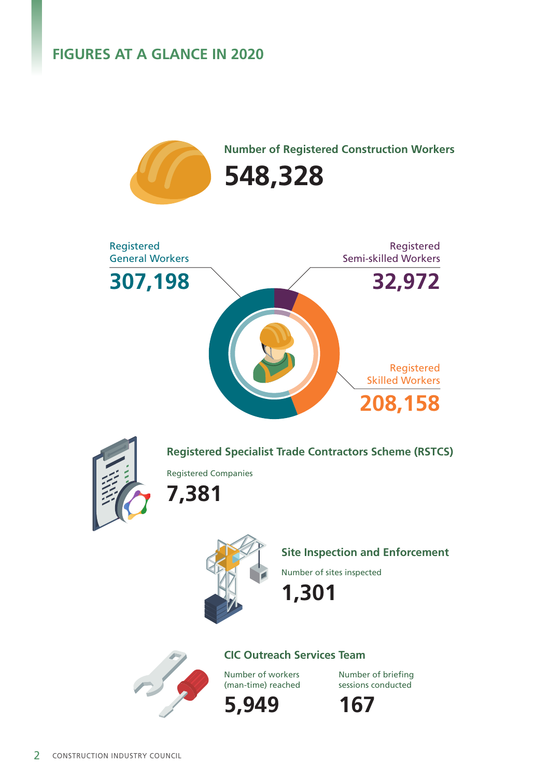# **FIGURES AT A GLANCE IN 2020**

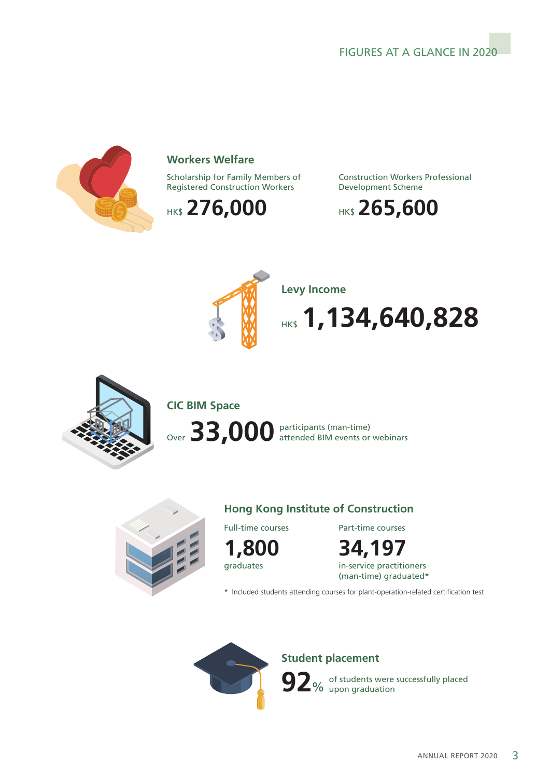## FIGURES AT A GLANCE IN 2020



#### **Workers Welfare**

Scholarship for Family Members of Registered Construction Workers

HK\$ 276,000

Construction Workers Professional Development Scheme





**Levy Income**

**1,134,640,828** 



**CIC BIM Space**

participants (man-time) Over 33,000 participants (man-time)



#### **Hong Kong Institute of Construction**

Full-time courses



**34,197** Part-time courses

in-service practitioners (man-time) graduated\*

\* Included students attending courses for plant-operation-related certification test



**Student placement**

of students were successfully placed **92**% of students were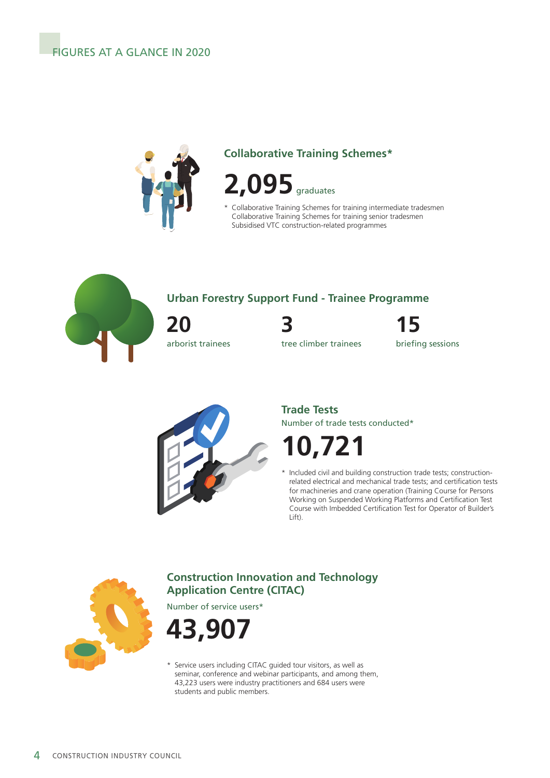

# **Collaborative Training Schemes\***



\* Collaborative Training Schemes for training intermediate tradesmen Collaborative Training Schemes for training senior tradesmen Subsidised VTC construction-related programmes



## **Urban Forestry Support Fund - Trainee Programme**

**20** arborist trainees **3 15**

tree climber trainees briefing sessions



#### Number of trade tests conducted\* **Trade Tests**

**10,721**

Included civil and building construction trade tests; constructionrelated electrical and mechanical trade tests; and certification tests for machineries and crane operation (Training Course for Persons Working on Suspended Working Platforms and Certification Test Course with Imbedded Certification Test for Operator of Builder's Lift).



# **Construction Innovation and Technology Application Centre (CITAC)**

Number of service users\*



\* Service users including CITAC guided tour visitors, as well as seminar, conference and webinar participants, and among them, 43,223 users were industry practitioners and 684 users were students and public members.